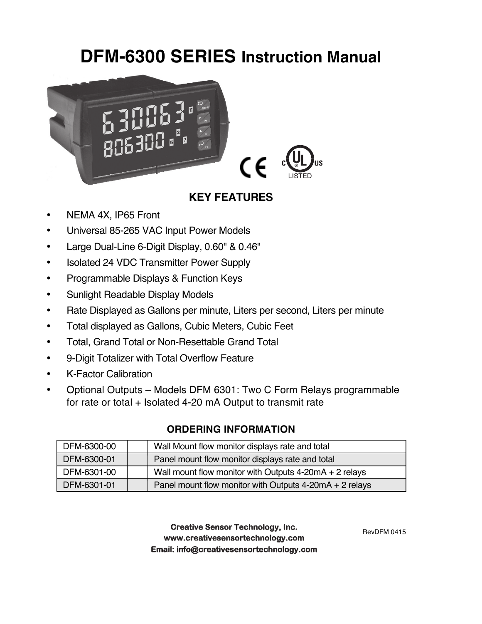# **DFM-6300 SERIES Instruction Manual**



## **KEY FEATURES**

- NEMA 4X, IP65 Front
- Universal 85-265 VAC Input Power Models
- Large Dual-Line 6-Digit Display, 0.60" & 0.46"
- Isolated 24 VDC Transmitter Power Supply
- Programmable Displays & Function Keys
- Sunlight Readable Display Models
- Rate Displayed as Gallons per minute, Liters per second, Liters per minute
- Total displayed as Gallons, Cubic Meters, Cubic Feet
- Total, Grand Total or Non-Resettable Grand Total
- 9-Digit Totalizer with Total Overflow Feature
- K-Factor Calibration
- Optional Outputs Models DFM 6301: Two C Form Relays programmable for rate or total + Isolated 4-20 mA Output to transmit rate

| DFM-6300-00 | Wall Mount flow monitor displays rate and total           |
|-------------|-----------------------------------------------------------|
| DFM-6300-01 | Panel mount flow monitor displays rate and total          |
| DFM-6301-00 | Wall mount flow monitor with Outputs $4-20mA + 2$ relays  |
| DFM-6301-01 | Panel mount flow monitor with Outputs $4-20mA + 2$ relays |

### **ORDERING INFORMATION**

**Creative Sensor Technology, Inc. Creative Sensor Technology, Inc. www.creativesensortechnology.com www.creativesensortechnology.com PO Box 426, Rochester MA 02770 • Ph: 508-763-8100 Email: info@creativesensortechnology.com**

RevDFM 0415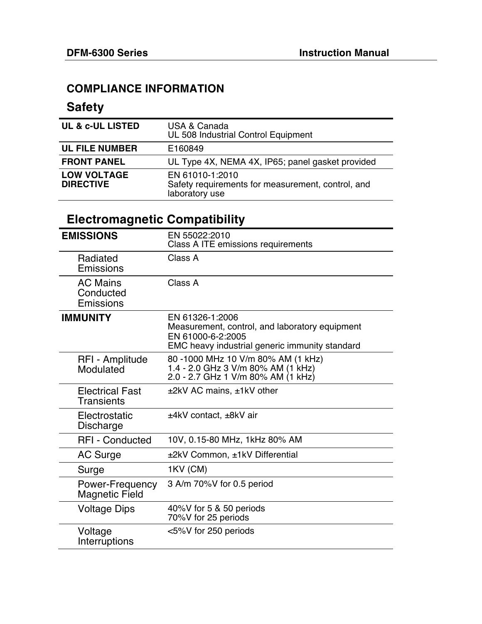### **COMPLIANCE INFORMATION**

# **Safety**

| <b>UL &amp; c-UL LISTED</b>            | USA & Canada<br>UL 508 Industrial Control Equipment                                    |
|----------------------------------------|----------------------------------------------------------------------------------------|
| <b>UL FILE NUMBER</b>                  | E160849                                                                                |
| <b>FRONT PANEL</b>                     | UL Type 4X, NEMA 4X, IP65; panel gasket provided                                       |
| <b>LOW VOLTAGE</b><br><b>DIRECTIVE</b> | EN 61010-1:2010<br>Safety requirements for measurement, control, and<br>laboratory use |

# **Electromagnetic Compatibility**

| <b>EMISSIONS</b>                            | EN 55022:2010<br>Class A ITE emissions requirements                                                                                      |
|---------------------------------------------|------------------------------------------------------------------------------------------------------------------------------------------|
| Radiated<br>Emissions                       | Class A                                                                                                                                  |
| <b>AC Mains</b><br>Conducted<br>Emissions   | Class A                                                                                                                                  |
| <b>IMMUNITY</b>                             | EN 61326-1:2006<br>Measurement, control, and laboratory equipment<br>EN 61000-6-2:2005<br>EMC heavy industrial generic immunity standard |
| RFI - Amplitude<br>Modulated                | 80 -1000 MHz 10 V/m 80% AM (1 kHz)<br>1.4 - 2.0 GHz 3 V/m 80% AM (1 kHz)<br>2.0 - 2.7 GHz 1 V/m 80% AM (1 kHz)                           |
| <b>Electrical Fast</b><br><b>Transients</b> | $±2kV$ AC mains, $±1kV$ other                                                                                                            |
| Electrostatic<br>Discharge                  | ±4kV contact, ±8kV air                                                                                                                   |
| <b>RFI - Conducted</b>                      | 10V, 0.15-80 MHz, 1kHz 80% AM                                                                                                            |
| <b>AC Surge</b>                             | ±2kV Common, ±1kV Differential                                                                                                           |
| Surge                                       | 1KV (CM)                                                                                                                                 |
| Power-Frequency<br><b>Magnetic Field</b>    | 3 A/m 70%V for 0.5 period                                                                                                                |
| Voltage Dips                                | 40%V for 5 & 50 periods<br>70%V for 25 periods                                                                                           |
| Voltage<br>Interruptions                    | <5%V for 250 periods                                                                                                                     |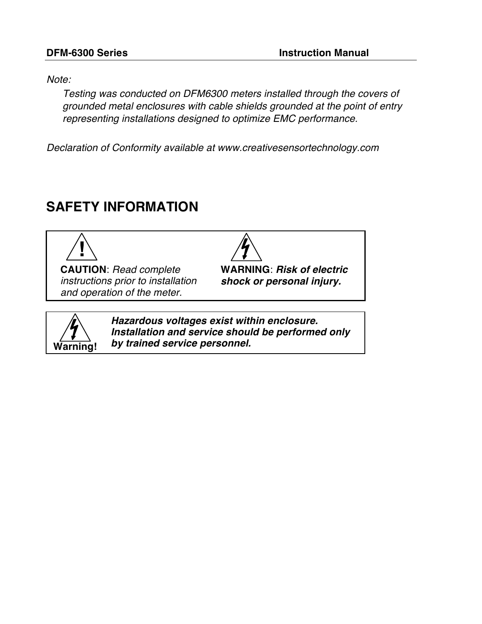*Note:*

*Testing was conducted on DFM6300 meters installed through the covers of grounded metal enclosures with cable shields grounded at the point of entry representing installations designed to optimize EMC performance.*

*Declaration of Conformity available at www.creativesensortechnology.com*

# **SAFETY INFORMATION**



**CAUTION**: *Read complete instructions prior to installation and operation of the meter.*

**WARNING**: *Risk of electric shock or personal injury.*



*Hazardous voltages exist within enclosure. Installation and service should be performed only by trained service personnel.*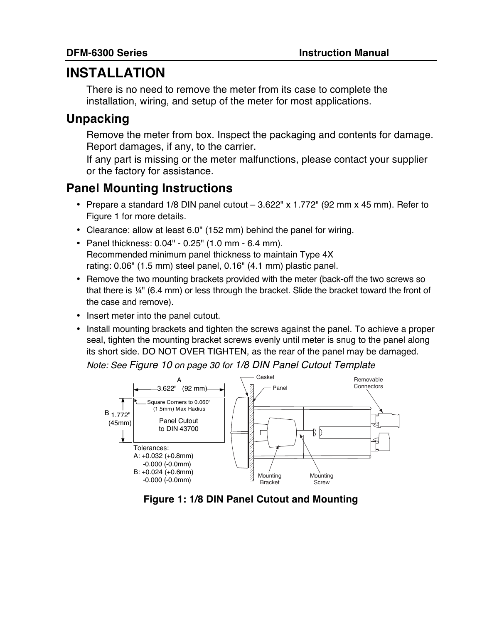# **INSTALLATION**

There is no need to remove the meter from its case to complete the installation, wiring, and setup of the meter for most applications.

# **Unpacking**

Remove the meter from box. Inspect the packaging and contents for damage. Report damages, if any, to the carrier.

If any part is missing or the meter malfunctions, please contact your supplier or the factory for assistance.

# **Panel Mounting Instructions**

- Prepare a standard 1/8 DIN panel cutout  $-3.622''$  x 1.772" (92 mm x 45 mm). Refer to Figure 1 for more details.
- Clearance: allow at least 6.0" (152 mm) behind the panel for wiring.
- Panel thickness: 0.04" 0.25" (1.0 mm 6.4 mm). Recommended minimum panel thickness to maintain Type 4X rating: 0.06" (1.5 mm) steel panel, 0.16" (4.1 mm) plastic panel.
- Remove the two mounting brackets provided with the meter (back-off the two screws so that there is ¼" (6.4 mm) or less through the bracket. Slide the bracket toward the front of the case and remove).
- Insert meter into the panel cutout.
- Install mounting brackets and tighten the screws against the panel. To achieve a proper seal, tighten the mounting bracket screws evenly until meter is snug to the panel along its short side. DO NOT OVER TIGHTEN, as the rear of the panel may be damaged.

*Note: See Figure 10 on page 30 for 1/8 DIN Panel Cutout Template*



**Figure 1: 1/8 DIN Panel Cutout and Mounting**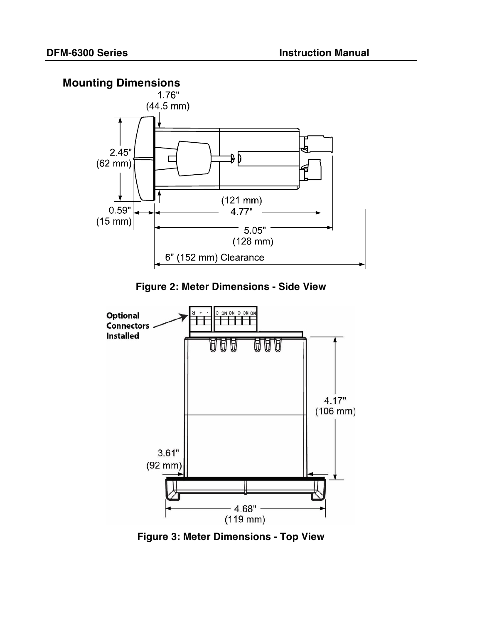# **Mounting Dimensions**



**Figure 2: Meter Dimensions - Side View**



**Figure 3: Meter Dimensions - Top View**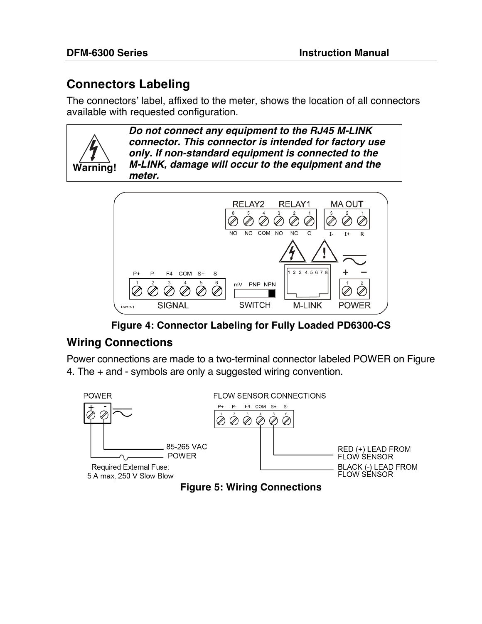# **Connectors Labeling**

The connectors' label, affixed to the meter, shows the location of all connectors available with requested configuration.

**Warning!**

*Do not connect any equipment to the RJ45 M-LINK connector. This connector is intended for factory use only. If non-standard equipment is connected to the M-LINK, damage will occur to the equipment and the meter.*



**Figure 4: Connector Labeling for Fully Loaded PD6300-CS**

## **Wiring Connections**

Power connections are made to a two-terminal connector labeled POWER on Figure 4. The + and - symbols are only a suggested wiring convention.



**Figure 5: Wiring Connections**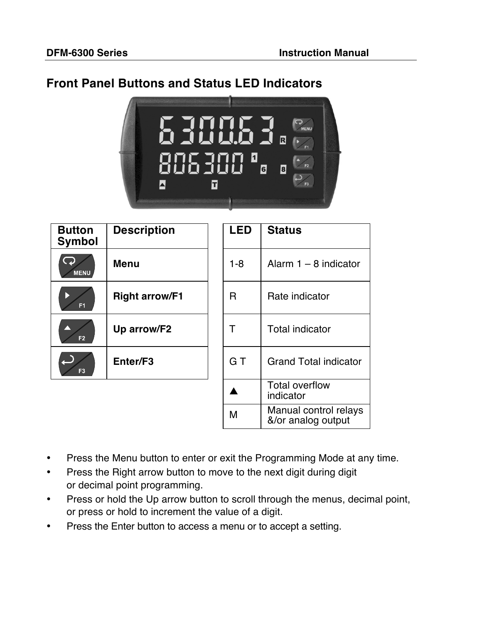### **Front Panel Buttons and Status LED Indicators**



| <b>Button</b><br><b>Symbol</b> | <b>Description</b>    | <b>LED</b> | <b>Status</b>                               |
|--------------------------------|-----------------------|------------|---------------------------------------------|
| <b>MENU</b>                    | <b>Menu</b>           | $1 - 8$    | Alarm $1 - 8$ indicator                     |
| F <sub>1</sub>                 | <b>Right arrow/F1</b> | R          | Rate indicator                              |
| F <sub>2</sub>                 | Up arrow/F2           | Τ          | <b>Total indicator</b>                      |
| F <sub>3</sub>                 | Enter/F3              | G T        | <b>Grand Total indicator</b>                |
|                                |                       |            | <b>Total overflow</b><br>indicator          |
|                                |                       | M          | Manual control relays<br>&/or analog output |

- Press the Menu button to enter or exit the Programming Mode at any time.
- Press the Right arrow button to move to the next digit during digit or decimal point programming.
- Press or hold the Up arrow button to scroll through the menus, decimal point, or press or hold to increment the value of a digit.
- Press the Enter button to access a menu or to accept a setting.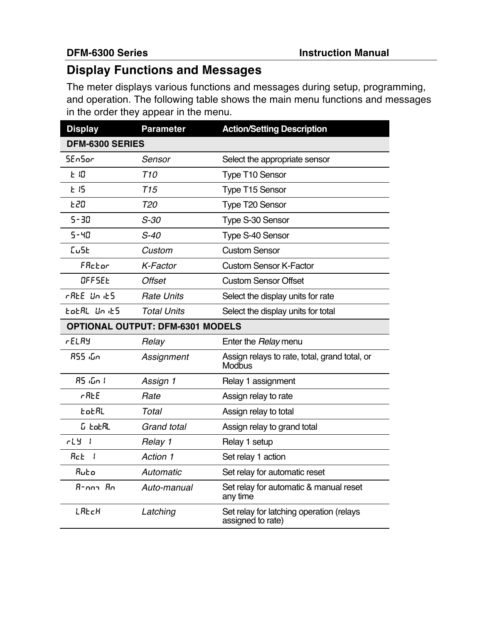# **Display Functions and Messages**

The meter displays various functions and messages during setup, programming, and operation. The following table shows the main menu functions and messages in the order they appear in the menu.

| <b>Display</b>                          | <b>Parameter</b>   | <b>Action/Setting Description</b>                              |  |  |
|-----------------------------------------|--------------------|----------------------------------------------------------------|--|--|
| DFM-6300 SERIES                         |                    |                                                                |  |  |
| <b>SEnSor</b>                           | Sensor             | Select the appropriate sensor                                  |  |  |
| と旧                                      | T <sub>10</sub>    | Type T10 Sensor                                                |  |  |
| E15                                     | T15                | <b>Type T15 Sensor</b>                                         |  |  |
| £20                                     | <b>T20</b>         | Type T20 Sensor                                                |  |  |
| $5 - 30$                                | $S-30$             | Type S-30 Sensor                                               |  |  |
| $5 - 40$                                | $S-40$             | Type S-40 Sensor                                               |  |  |
| EuSE                                    | Custom             | <b>Custom Sensor</b>                                           |  |  |
| FRctor                                  | K-Factor           | <b>Custom Sensor K-Factor</b>                                  |  |  |
| OFFSEE                                  | <b>Offset</b>      | <b>Custom Sensor Offset</b>                                    |  |  |
| rREE Un iES                             | <b>Rate Units</b>  | Select the display units for rate                              |  |  |
| EoEAL Un iES                            | <b>Total Units</b> | Select the display units for total                             |  |  |
| <b>OPTIONAL OUTPUT: DFM-6301 MODELS</b> |                    |                                                                |  |  |
| <b>rELAY</b>                            | Relay              | Enter the Relay menu                                           |  |  |
| 855 <i>:</i> ნო                         | Assignment         | Assign relays to rate, total, grand total, or<br><b>Modbus</b> |  |  |
| 85 մո I                                 | Assign 1           | Relay 1 assignment                                             |  |  |
| rRE                                     | Rate               | Assign relay to rate                                           |  |  |
| totRL                                   | Total              | Assign relay to total                                          |  |  |
| <b><i>G</i></b> totAL                   | <b>Grand total</b> | Assign relay to grand total                                    |  |  |
| rL<br>- 1                               | Relay 1            | Relay 1 setup                                                  |  |  |
| Rc E<br>- 1                             | Action 1           | Set relay 1 action                                             |  |  |
| Ruto                                    | Automatic          | Set relay for automatic reset                                  |  |  |
| $B$ -nna $B$ n                          | Auto-manual        | Set relay for automatic & manual reset<br>any time             |  |  |
| LAECH                                   | Latching           | Set relay for latching operation (relays<br>assigned to rate)  |  |  |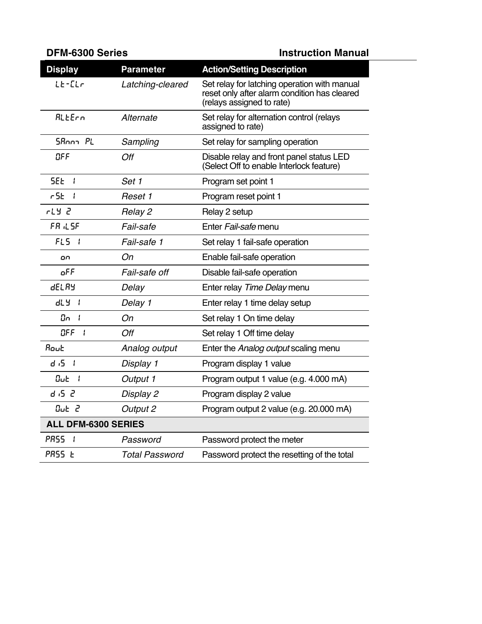| <b>DFM-6300 Series</b>          |                       | <b>Instruction Manual</b>                                                                                                 |
|---------------------------------|-----------------------|---------------------------------------------------------------------------------------------------------------------------|
| <b>Display</b>                  | <b>Parameter</b>      | <b>Action/Setting Description</b>                                                                                         |
| $LE-ELr$                        | Latching-cleared      | Set relay for latching operation with manual<br>reset only after alarm condition has cleared<br>(relays assigned to rate) |
| ALLErn                          | Alternate             | Set relay for alternation control (relays<br>assigned to rate)                                                            |
| SRoom PL                        | Sampling              | Set relay for sampling operation                                                                                          |
| OFF                             | Off                   | Disable relay and front panel status LED<br>(Select Off to enable Interlock feature)                                      |
| 5EE<br>- 1                      | Set 1                 | Program set point 1                                                                                                       |
| r SE.<br>- 1                    | Reset 1               | Program reset point 1                                                                                                     |
| ことり                             | Relay 2               | Relay 2 setup                                                                                                             |
| FR LSF                          | Fail-safe             | Enter Fail-safe menu                                                                                                      |
| $FL5$ $I$                       | Fail-safe 1           | Set relay 1 fail-safe operation                                                                                           |
| on                              | On                    | Enable fail-safe operation                                                                                                |
| oFF                             | Fail-safe off         | Disable fail-safe operation                                                                                               |
| dELAY                           | Delay                 | Enter relay Time Delay menu                                                                                               |
| ሞገ<br>- 1                       | Delay 1               | Enter relay 1 time delay setup                                                                                            |
| 0n<br>- 1                       | On                    | Set relay 1 On time delay                                                                                                 |
| OFF<br>- 1                      | Off                   | Set relay 1 Off time delay                                                                                                |
| Rout                            | Analog output         | Enter the Analog output scaling menu                                                                                      |
| d S<br>$\overline{\phantom{a}}$ | Display 1             | Program display 1 value                                                                                                   |
| Out<br>- 1                      | Output 1              | Program output 1 value (e.g. 4.000 mA)                                                                                    |
| d ,5 2                          | Display 2             | Program display 2 value                                                                                                   |
| Out 2                           | Output 2              | Program output 2 value (e.g. 20.000 mA)                                                                                   |
| <b>ALL DFM-6300 SERIES</b>      |                       |                                                                                                                           |
| PRSS <sub>I</sub>               | Password              | Password protect the meter                                                                                                |
| PRSS <sub>E</sub>               | <b>Total Password</b> | Password protect the resetting of the total                                                                               |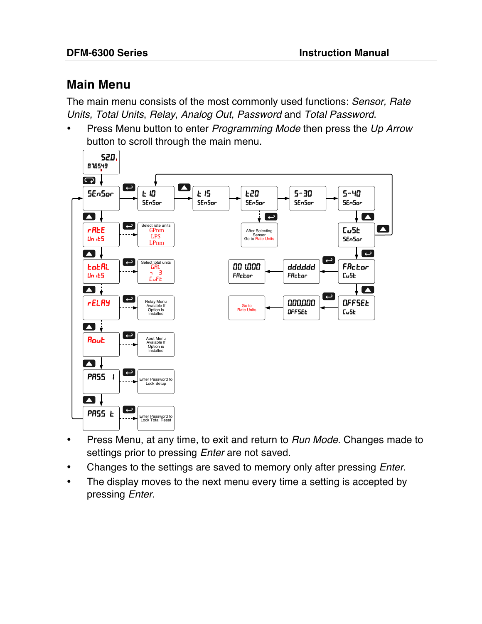# **Main Menu**

The main menu consists of the most commonly used functions: *Sensor, Rate Units, Total Units*, *Relay*, *Analog Out*, *Password* and *Total Password*.

• Press Menu button to enter *Programming Mode* then press the *Up Arrow* button to scroll through the main menu.



- Press Menu, at any time, to exit and return to *Run Mode*. Changes made to settings prior to pressing *Enter* are not saved.
- Changes to the settings are saved to memory only after pressing *Enter*.
- The display moves to the next menu every time a setting is accepted by pressing *Enter*.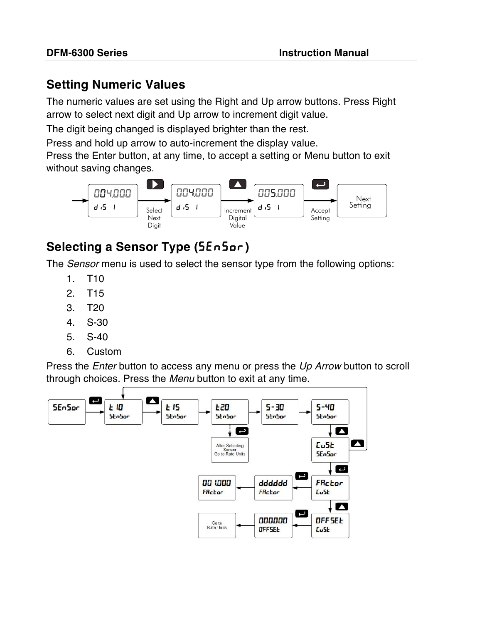# **Setting Numeric Values**

The numeric values are set using the Right and Up arrow buttons. Press Right arrow to select next digit and Up arrow to increment digit value.

The digit being changed is displayed brighter than the rest.

Press and hold up arrow to auto-increment the display value.

Press the Enter button, at any time, to accept a setting or Menu button to exit without saving changes.



# **Selecting a Sensor Type (5En5or)**

The *Sensor* menu is used to select the sensor type from the following options:

- 1. T10
- 2. T15
- 3. T20
- 4. S-30
- 5. S-40
- 6. Custom

Press the *Enter* button to access any menu or press the *Up Arrow* button to scroll through choices. Press the *Menu* button to exit at any time.

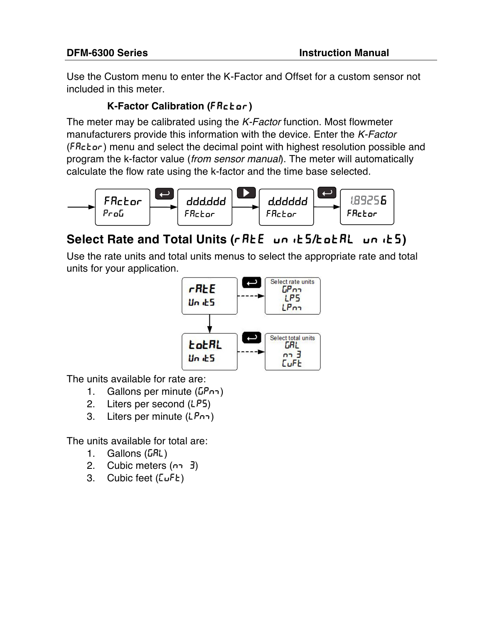Use the Custom menu to enter the K-Factor and Offset for a custom sensor not included in this meter.

### **K-Factor Calibration (**Factor**)**

The meter may be calibrated using the *K-Factor* function. Most flowmeter manufacturers provide this information with the device. Enter the *K-Factor* (Factor) menu and select the decimal point with highest resolution possible and program the k-factor value (*from sensor manual*). The meter will automatically calculate the flow rate using the k-factor and the time base selected.



# **Select Rate and Total Units (rRtE** units/total units)

Use the rate units and total units menus to select the appropriate rate and total units for your application.



The units available for rate are:

- 1. Gallons per minute ( $\overline{LP}$ nm)
- 2. Liters per second (LPS)
- 3. Liters per minute (LPnm)

The units available for total are:

- 1. Gallons  $(LRL)$
- 2. Cubic meters  $(n-3)$
- 3. Cubic feet  $(LuFt)$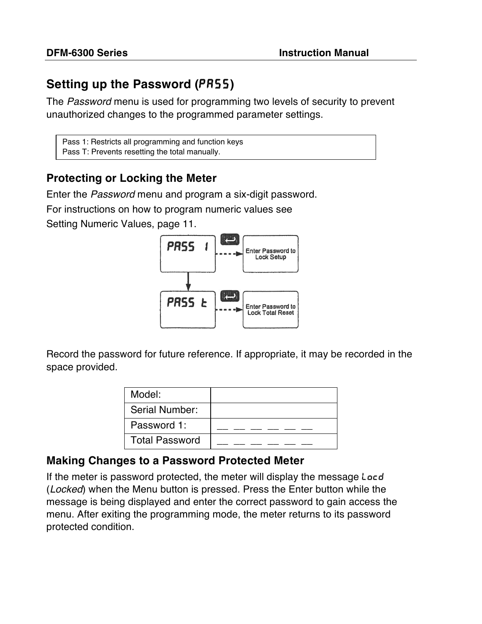# **Setting up the Password (PR55)**

The *Password* menu is used for programming two levels of security to prevent unauthorized changes to the programmed parameter settings.

Pass 1: Restricts all programming and function keys Pass T: Prevents resetting the total manually.

### **Protecting or Locking the Meter**

Enter the *Password* menu and program a six-digit password.

For instructions on how to program numeric values see

Setting Numeric Values, page 11.



Record the password for future reference. If appropriate, it may be recorded in the space provided.

| Model:                |  |
|-----------------------|--|
| Serial Number:        |  |
| Password 1:           |  |
| <b>Total Password</b> |  |

## **Making Changes to a Password Protected Meter**

If the meter is password protected, the meter will display the message Locd (*Locked*) when the Menu button is pressed. Press the Enter button while the message is being displayed and enter the correct password to gain access the menu. After exiting the programming mode, the meter returns to its password protected condition.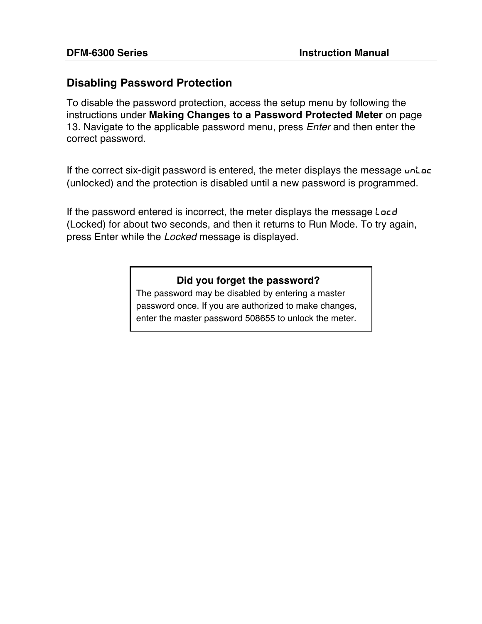### **Disabling Password Protection**

To disable the password protection, access the setup menu by following the instructions under **Making Changes to a Password Protected Meter** on page 13. Navigate to the applicable password menu, press *Enter* and then enter the correct password.

If the correct six-digit password is entered, the meter displays the message unlact (unlocked) and the protection is disabled until a new password is programmed.

If the password entered is incorrect, the meter displays the message Locd (Locked) for about two seconds, and then it returns to Run Mode. To try again, press Enter while the *Locked* message is displayed.

### **Did you forget the password?**

The password may be disabled by entering a master password once. If you are authorized to make changes, enter the master password 508655 to unlock the meter.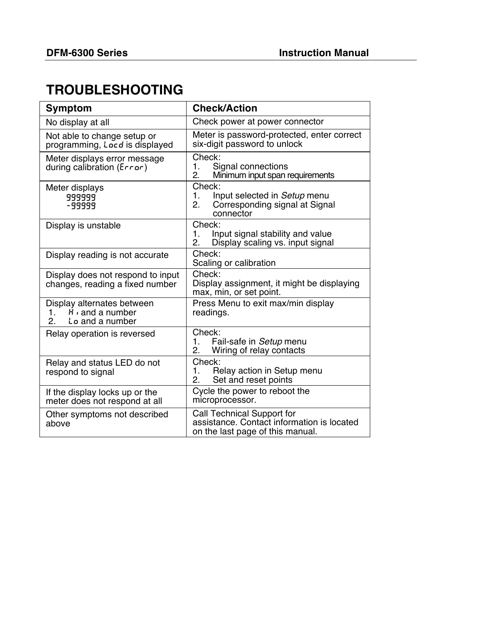# **TROUBLESHOOTING**

| <b>Symptom</b>                                                                              | <b>Check/Action</b>                                                                                          |  |  |
|---------------------------------------------------------------------------------------------|--------------------------------------------------------------------------------------------------------------|--|--|
| No display at all                                                                           | Check power at power connector                                                                               |  |  |
| Not able to change setup or<br>programming, Locd is displayed                               | Meter is password-protected, enter correct<br>six-digit password to unlock                                   |  |  |
| Meter displays error message<br>during calibration ( $Errar$ )                              | Check:<br>1.<br>Signal connections<br>Minimum input span requirements<br>2.                                  |  |  |
| Meter displays<br>999999<br>-99999                                                          | Check:<br>$\mathbf 1$ .<br>Input selected in Setup menu<br>Corresponding signal at Signal<br>2.<br>connector |  |  |
| Display is unstable                                                                         | Check:<br>Input signal stability and value<br>1.<br>2.<br>Display scaling vs. input signal                   |  |  |
| Display reading is not accurate                                                             | Check:<br>Scaling or calibration                                                                             |  |  |
| Display does not respond to input<br>changes, reading a fixed number                        | Check:<br>Display assignment, it might be displaying<br>max, min, or set point.                              |  |  |
| Display alternates between<br>$H_1$ and a number<br>1.<br>2.<br>L <sub>o</sub> and a number | Press Menu to exit max/min display<br>readings.                                                              |  |  |
| Relay operation is reversed                                                                 | Check:<br>1.<br>Fail-safe in Setup menu<br>Wiring of relay contacts<br>2.                                    |  |  |
| Relay and status LED do not<br>respond to signal                                            | Check:<br>Relay action in Setup menu<br>1.<br>Set and reset points<br>2.                                     |  |  |
| If the display locks up or the<br>meter does not respond at all                             | Cycle the power to reboot the<br>microprocessor.                                                             |  |  |
| Other symptoms not described<br>above                                                       | Call Technical Support for<br>assistance. Contact information is located<br>on the last page of this manual. |  |  |